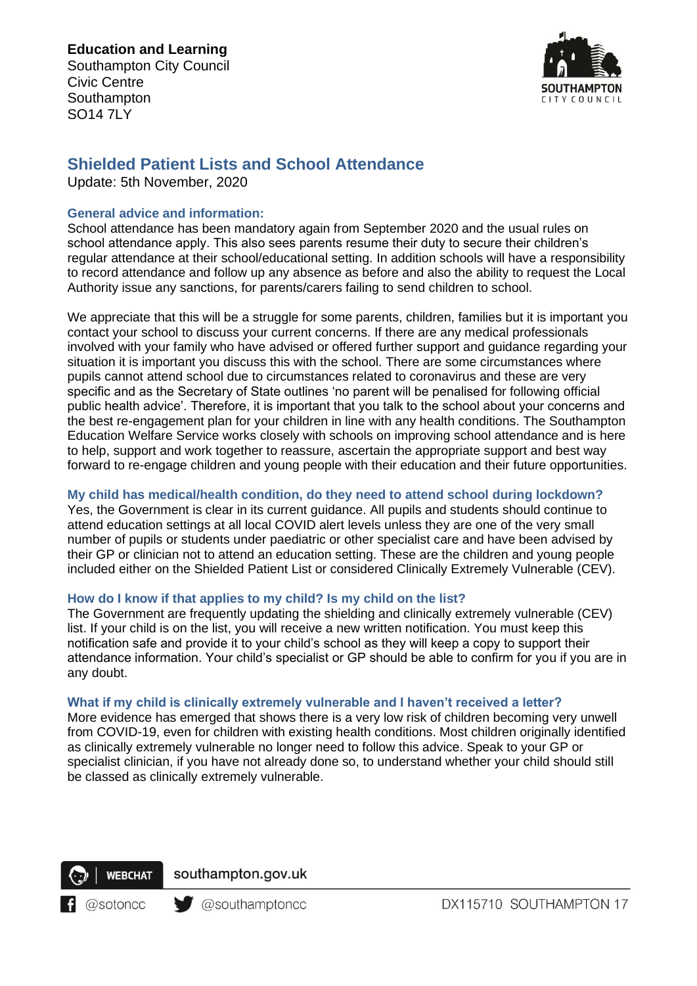SO14 7LY



# **Shielded Patient Lists and School Attendance**

Update: 5th November, 2020

#### **General advice and information:**

School attendance has been mandatory again from September 2020 and the usual rules on school attendance apply. This also sees parents resume their duty to secure their children's regular attendance at their school/educational setting. In addition schools will have a responsibility to record attendance and follow up any absence as before and also the ability to request the Local Authority issue any sanctions, for parents/carers failing to send children to school.

We appreciate that this will be a struggle for some parents, children, families but it is important you contact your school to discuss your current concerns. If there are any medical professionals involved with your family who have advised or offered further support and guidance regarding your situation it is important you discuss this with the school. There are some circumstances where pupils cannot attend school due to circumstances related to coronavirus and these are very specific and as the Secretary of State outlines 'no parent will be penalised for following official public health advice'. Therefore, it is important that you talk to the school about your concerns and the best re-engagement plan for your children in line with any health conditions. The Southampton Education Welfare Service works closely with schools on improving school attendance and is here to help, support and work together to reassure, ascertain the appropriate support and best way forward to re-engage children and young people with their education and their future opportunities.

### **My child has medical/health condition, do they need to attend school during lockdown?**

Yes, the Government is clear in its current guidance. All pupils and students should continue to attend education settings at all local COVID alert levels unless they are one of the very small number of pupils or students under paediatric or other specialist care and have been advised by their GP or clinician not to attend an education setting. These are the children and young people included either on the Shielded Patient List or considered Clinically Extremely Vulnerable (CEV).

## **How do I know if that applies to my child? Is my child on the list?**

The Government are frequently updating the shielding and clinically extremely vulnerable (CEV) list. If your child is on the list, you will receive a new written notification. You must keep this notification safe and provide it to your child's school as they will keep a copy to support their attendance information. Your child's specialist or GP should be able to confirm for you if you are in any doubt.

#### **What if my child is clinically extremely vulnerable and I haven't received a letter?**

More evidence has emerged that shows there is a very low risk of children becoming very unwell from COVID-19, even for children with existing health conditions. Most children originally identified as clinically extremely vulnerable no longer need to follow this advice. Speak to your GP or specialist clinician, if you have not already done so, to understand whether your child should still be classed as clinically extremely vulnerable.



southampton.gov.uk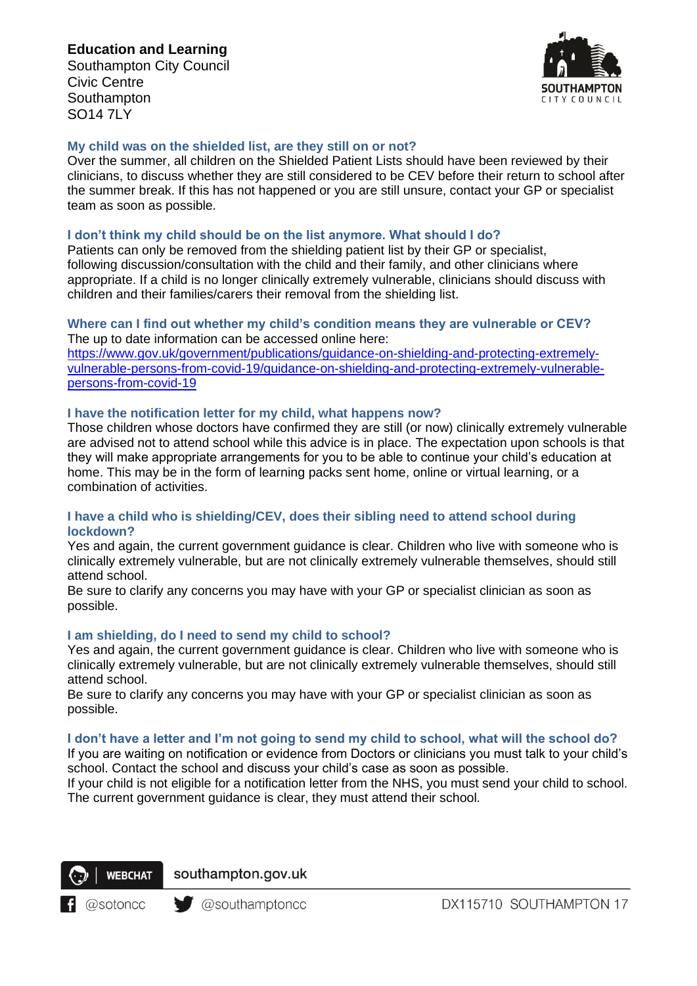## **Education and Learning**

Southampton City Council Civic Centre **Southampton** SO14 7LY



## **My child was on the shielded list, are they still on or not?**

Over the summer, all children on the Shielded Patient Lists should have been reviewed by their clinicians, to discuss whether they are still considered to be CEV before their return to school after the summer break. If this has not happened or you are still unsure, contact your GP or specialist team as soon as possible.

#### **I don't think my child should be on the list anymore. What should I do?**

Patients can only be removed from the shielding patient list by their GP or specialist, following discussion/consultation with the child and their family, and other clinicians where appropriate. If a child is no longer clinically extremely vulnerable, clinicians should discuss with children and their families/carers their removal from the shielding list.

#### **Where can I find out whether my child's condition means they are vulnerable or CEV?** The up to date information can be accessed online here:

[https://www.gov.uk/government/publications/guidance-on-shielding-and-protecting-extremely](https://www.gov.uk/government/publications/guidance-on-shielding-and-protecting-extremely-vulnerable-persons-from-covid-19/guidance-on-shielding-and-protecting-extremely-vulnerable-persons-from-covid-19)[vulnerable-persons-from-covid-19/guidance-on-shielding-and-protecting-extremely-vulnerable](https://www.gov.uk/government/publications/guidance-on-shielding-and-protecting-extremely-vulnerable-persons-from-covid-19/guidance-on-shielding-and-protecting-extremely-vulnerable-persons-from-covid-19)[persons-from-covid-19](https://www.gov.uk/government/publications/guidance-on-shielding-and-protecting-extremely-vulnerable-persons-from-covid-19/guidance-on-shielding-and-protecting-extremely-vulnerable-persons-from-covid-19) 

#### **I have the notification letter for my child, what happens now?**

Those children whose doctors have confirmed they are still (or now) clinically extremely vulnerable are advised not to attend school while this advice is in place. The expectation upon schools is that they will make appropriate arrangements for you to be able to continue your child's education at home. This may be in the form of learning packs sent home, online or virtual learning, or a combination of activities.

#### **I have a child who is shielding/CEV, does their sibling need to attend school during lockdown?**

Yes and again, the current government guidance is clear. Children who live with someone who is clinically extremely vulnerable, but are not clinically extremely vulnerable themselves, should still attend school.

Be sure to clarify any concerns you may have with your GP or specialist clinician as soon as possible.

#### **I am shielding, do I need to send my child to school?**

Yes and again, the current government guidance is clear. Children who live with someone who is clinically extremely vulnerable, but are not clinically extremely vulnerable themselves, should still attend school.

Be sure to clarify any concerns you may have with your GP or specialist clinician as soon as possible.

#### **I don't have a letter and I'm not going to send my child to school, what will the school do?**

If you are waiting on notification or evidence from Doctors or clinicians you must talk to your child's school. Contact the school and discuss your child's case as soon as possible.

If your child is not eligible for a notification letter from the NHS, you must send your child to school. The current government guidance is clear, they must attend their school.



southampton.gov.uk